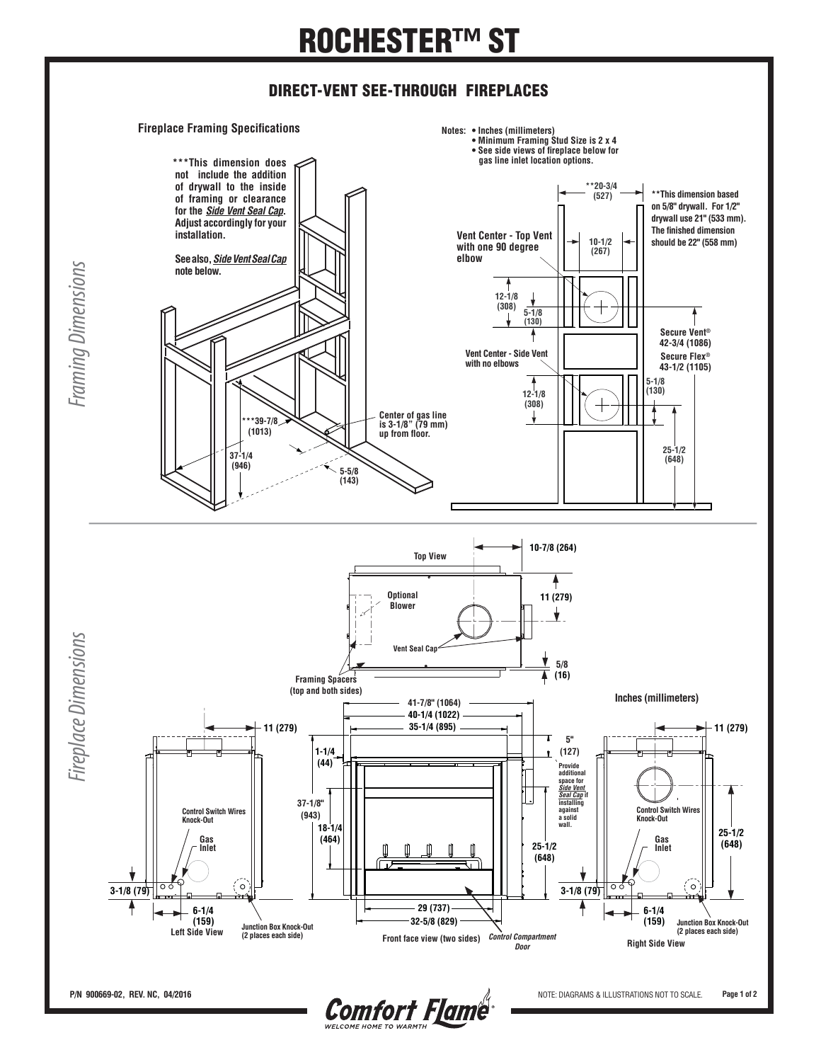## **ROCHESTER™ ST**

## **DIRECT-VENT SEE-THROUGH FIREPLACES**